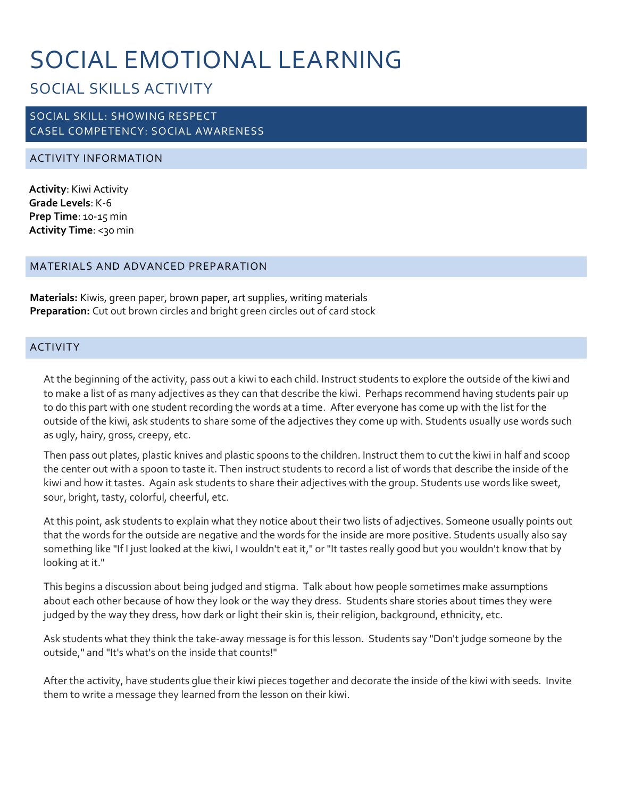# SOCIAL EMOTIONAL LEARNING

# SOCIAL SKILLS ACTIVITY

## SOCIAL SKILL: SHOWING RESPECT CASEL COMPETENCY: SOCIAL AWARENESS

### ACTIVITY INFORMATION

**Activity**: Kiwi Activity **Grade Levels**: K-6 **Prep Time**: 10-15 min **Activity Time**: <30 min

#### MATERIALS AND ADVANCED PREPARATION

**Materials:** Kiwis, green paper, brown paper, art supplies, writing materials **Preparation:** Cut out brown circles and bright green circles out of card stock

#### ACTIVITY

At the beginning of the activity, pass out a kiwi to each child. Instruct students to explore the outside of the kiwi and to make a list of as many adjectives as they can that describe the kiwi. Perhaps recommend having students pair up to do this part with one student recording the words at a time. After everyone has come up with the list for the outside of the kiwi, ask students to share some of the adjectives they come up with. Students usually use words such as ugly, hairy, gross, creepy, etc.

Then pass out plates, plastic knives and plastic spoons to the children. Instruct them to cut the kiwi in half and scoop the center out with a spoon to taste it. Then instruct students to record a list of words that describe the inside of the kiwi and how it tastes. Again ask students to share their adjectives with the group. Students use words like sweet, sour, bright, tasty, colorful, cheerful, etc.

At this point, ask students to explain what they notice about their two lists of adjectives. Someone usually points out that the words for the outside are negative and the words for the inside are more positive. Students usually also say something like "If I just looked at the kiwi, I wouldn't eat it," or "It tastes really good but you wouldn't know that by looking at it."

This begins a discussion about being judged and stigma. Talk about how people sometimes make assumptions about each other because of how they look or the way they dress. Students share stories about times they were judged by the way they dress, how dark or light their skin is, their religion, background, ethnicity, etc.

Ask students what they think the take-away message is for this lesson. Students say "Don't judge someone by the outside," and "It's what's on the inside that counts!"

After the activity, have students glue their kiwi pieces together and decorate the inside of the kiwi with seeds. Invite them to write a message they learned from the lesson on their kiwi.